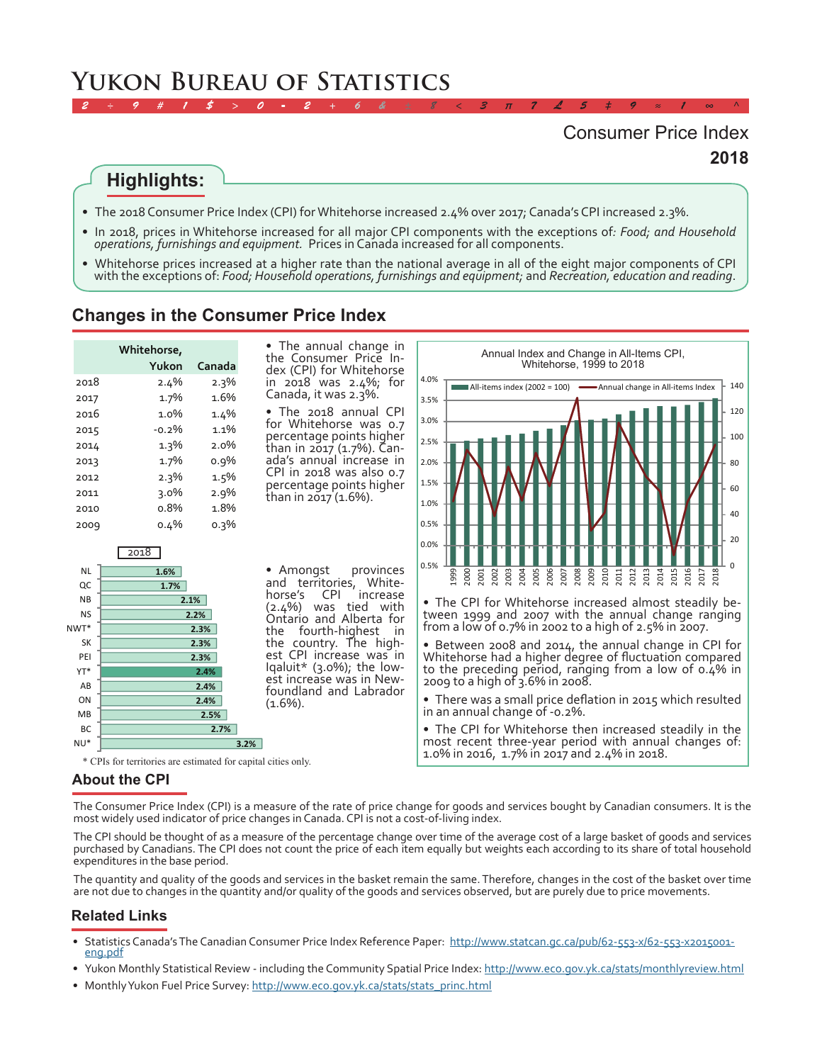# **Yukon Bureau of Statistics**

# **2018** Consumer Price Index

# **Highlights:**

- •  The 2018 Consumer Price Index (CPI) for Whitehorse increased 2.4% over 2017; Canada's CPI increased 2.3%.
- •  In 2018, prices in Whitehorse increased for all major CPI components with the exceptions of*: Food; and Household operations, furnishings and equipment.* Prices in Canada increased for all components.

*2 ÷ 9 # 1 \$ > 0 - 2 + 6 & ± 8 < 3 π 7 £ 5 ‡ 9 ≈ 1 ∞ ^*

Whitehorse prices increased at a higher rate than the national average in all of the eight major components of CPI with the exceptions of: *Food; Household operations, furnishings and equipment;* and *Recreation, education and reading*.

#### **Changes in the Consumer Price Index**

|      | Whitehorse, |         |
|------|-------------|---------|
|      | Yukon       | Canada  |
| 2018 | $2.4\%$     | 2.3%    |
| 2017 | 1.7%        | 1.6%    |
| 2016 | 1.0%        | 1.4%    |
| 2015 | $-0.2\%$    | 1.1%    |
| 2014 | 1.3%        | $2.0\%$ |
| 2013 | 1.7%        | $0.9\%$ |
| 2012 | $2.3\%$     | 1.5%    |
| 2011 | $3.0\%$     | 2.9%    |
| 2010 | o.8%        | 1.8%    |
| 2009 | 0.4%        | $0.3\%$ |

• The annual change in<br>the Consumer Price In-<br>dex (CPI) for Whitehorse in 2018 was 2.4%; for Canada, it was 2.3%.

• The 2018 annual CPI for Whitehorse was 0.7 percentage points higher than in 2017 (1.7%). Can-<br>ada's annual increase in CPI in 2018 was also 0.7 percentage points higher than in 2017 (1.6%).





• The CPI for Whitehorse increased almost steadily be- tween 1999 and 2007 with the annual change ranging from a low of 0.7% in 2002 to a high of 2.5% in 2007.

• Between 2008 and 2014, the annual change in CPI for Whitehorse had <sup>a</sup> higher degree of fluctuation compared to the preceding period, ranging from a low of 0.4% in 2009 to a high of 3.6% in 2008.

• There was <sup>a</sup> small price deflation in <sup>2015</sup> which resulted in an annual change of -0.2%.

• The CPI for Whitehorse then increased steadily in the most recent three-year period with annual changes of: \* CPIs for territories are estimated for capital cities only. 1.0% in 2016, 1.7% in 2017 and 2.4% in 2018.

#### **About the CPI**

The Consumer Price Index (CPI) is a measure of the rate of price change for goods and services bought by Canadian consumers. It is the most widely used indicator of price changes in Canada. CPI is not a cost-of-living index.

The CPI should be thought of as a measure of the percentage change over time of the average cost of a large basket of goods and services purchased by Canadians. The CPI does not count the price of each item equally but weights each according to its share of total household expenditures in the base period.

The quantity and quality of the goods and services in the basket remain the same. Therefore, changes in the cost of the basket over time are not due to changes in the quantity and/or quality of the goods and services observed, but are purely due to price movements.

#### **Related Links**

- Statistic[s](http://www23.statcan.gc.ca/imdb-bmdi/document/2301_D47_T9_V2-eng.htm) Canada's The Canadian Consumer Price Index Reference Paper: [http://www.statcan.gc.ca/pub/62-553-x/62-553-x2015001-](http://www.statcan.gc.ca/pub/62-553-x/62-553-x2015001-eng.pdf) [eng.pdf](http://www.statcan.gc.ca/pub/62-553-x/62-553-x2015001-eng.pdf)
- Yukon Monthly Statistical Review including the Community Spatial Price Index: <http://www.eco.gov.yk.ca/stats/monthlyreview.html>
- Monthly Yukon Fuel Price Survey: [http://www.eco.gov.yk.ca/stats/stats\\_princ.html](http://www.eco.gov.yk.ca/stats/stats_princ.html)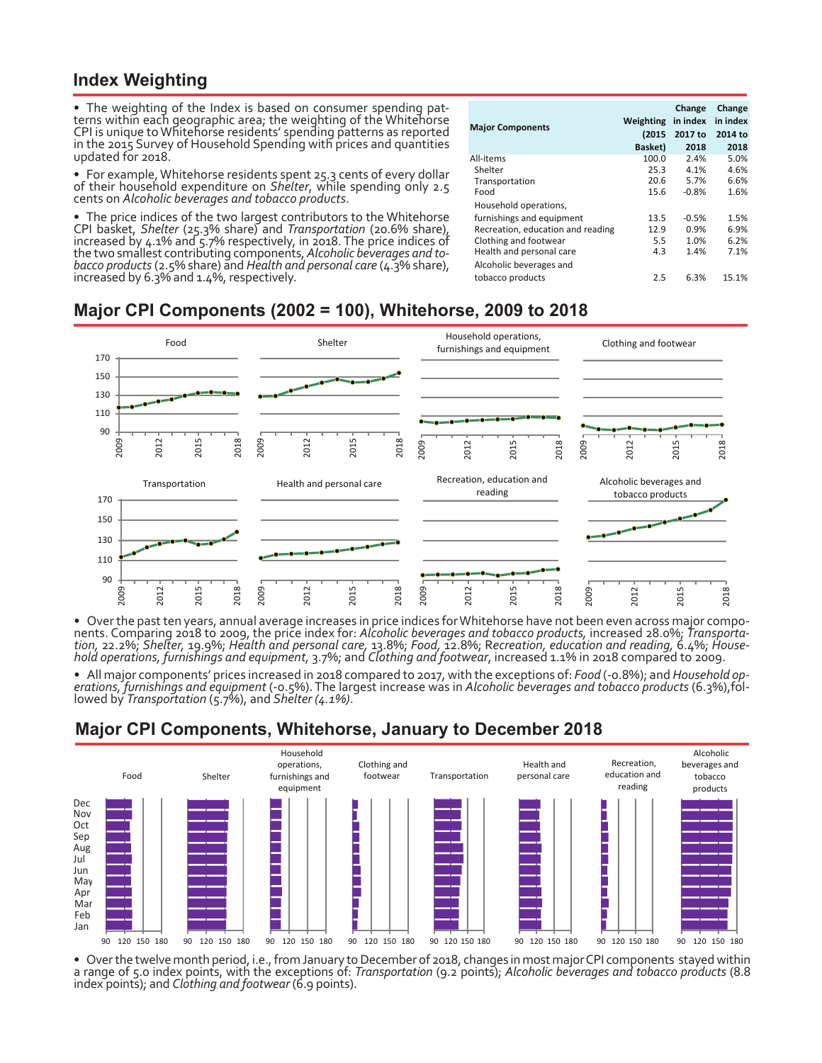#### **Index Weighting**

•  The weighting of the Index is based on consumer spending pat- terns within each geographic area; the weighting of the Whitehorse CPI is unique to Whitehorse residents' spending patterns as reported in the 2015 Survey of Household Spending with prices and quantities updated for 2018.

•  For example, Whitehorse residents spent 25.3 cents of every dollar of their household expenditure on *Shelter*, while spending only 2.5 cents on *Alcoholic beverages and tobacco products*.

• The price indices of the two largest contributors to the Whitehorse CPI basket, *Shelter* (25.3% share) and *Transportation* (20.6% share), increased by 4.1% and 5.7% respectively, in 2018. The price indices of the two s bacco products (2.5% share) and Health and personal care (4.3% share), *increased by 6.3% and 1.4%*, respectively.

| <b>Major Components</b>           | Weighting<br>(2015 | Change<br>in index<br>2017 to | Change<br>in index<br>2014 to |
|-----------------------------------|--------------------|-------------------------------|-------------------------------|
|                                   | Basket)            | 2018                          | 2018                          |
| All-items                         | 100.0              | 2.4%                          | 5.0%                          |
| Shelter                           | 25.3               | 4.1%                          | 4.6%                          |
| Transportation                    | 20.6               | 5.7%                          | 6.6%                          |
| Food                              | 15.6               | $-0.8%$                       | 1.6%                          |
| Household operations,             |                    |                               |                               |
| furnishings and equipment         | 13.5               | $-0.5%$                       | 1.5%                          |
| Recreation, education and reading | 12.9               | 0.9%                          | 6.9%                          |
| Clothing and footwear             | 5.5                | 1.0%                          | 6.2%                          |
| Health and personal care          | 4.3                | 1.4%                          | 7.1%                          |
| Alcoholic beverages and           |                    |                               |                               |
| tobacco products                  | 2.5                | 6.3%                          | 15.1%                         |

# **Major CPI Components (2002 = 100), Whitehorse, 2009 to 2018**



• Over the past ten years, annual average increases in price indices for Whitehorse have not been even across major components. Comparing 2018 to 2009, the price index for: Alcoholic beverages and tobacco products, increas

• All major components' prices increased in 2018 compared to 2017, with the exceptions of: Food (-0.8%); and Household op-<br>erations, furnishings and equipment (-0.5%). The largest increase was in Alcoholic beverages and to

## **Major CPI Components, Whitehorse, January to December 2018**



Over the twelve month period, i.e., from January to December of 2018, changes in most major CPI components stayed within<br>a range of 5.0 index points, with the exceptions of: Transportation (9.2 points); Alcoholic beverages index points); and *Clothing and footwear* (6.9 points).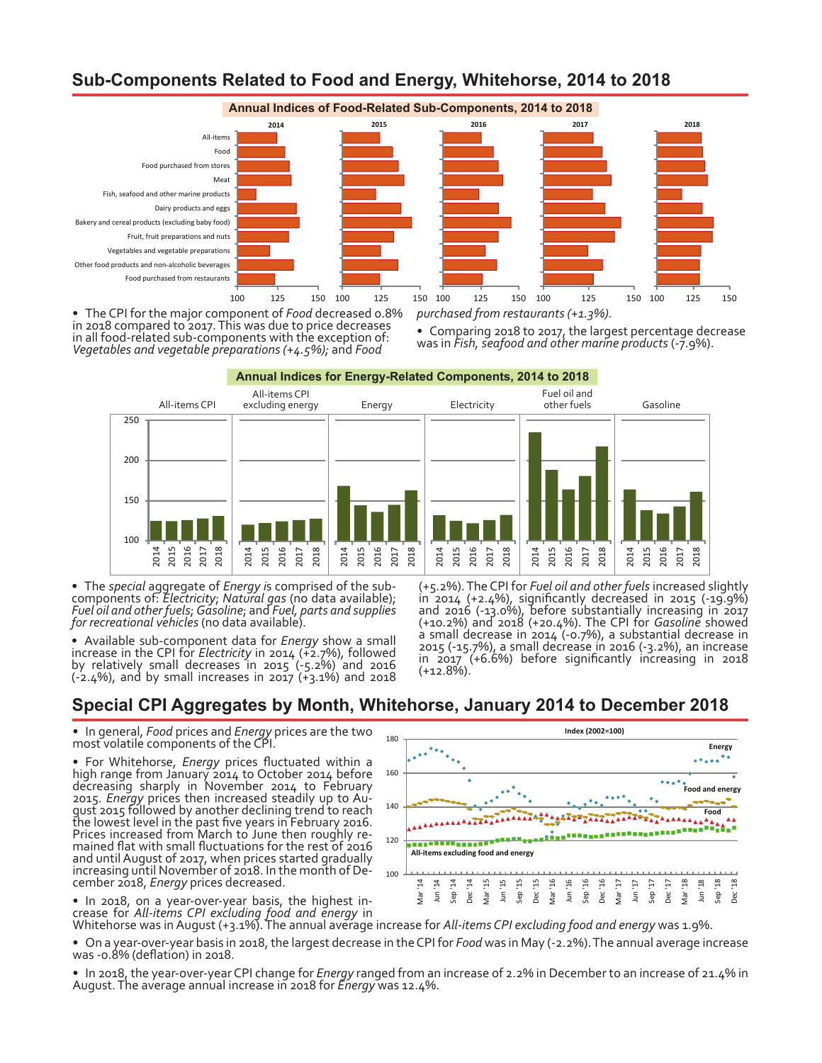## **Sub-Components Related to Food and Energy, Whitehorse, 2014 to 2018**



•  The CPI for the major component of *Food* decreased 0.8% in 2018 compared to 2017. This was due to price decreases in all food-related sub-components with the exception of: *Vegetables and vegetable preparations (+4.5%);* and *Food* 

Comparing 2018 to 2017, the largest percentage decrease was in *Fish, seafood and other marine products* (-7.9%).



• The special aggregate of *Energy is* comprised of the subcomponents of: *Electricity*; *Natural gas* (no data available); *Fuel oil and other fuels; Gasoline*; and *Fuel, parts and supplies for recreational vehicles* (no

•  Available sub-component data for *Energy* show a small increase in the CPI for *Electricity* in 2014 (+2.7%), followed by relatively small decreases in 2015 (-5.2%) and 2016  $(-2.4%)$ , and by small increases in 2017  $(+3.1%)$  and 2018

(+5.2%). The CPI for *Fuel oil and other fuels* increased slightly in <sup>2014</sup> (+2.4%), significantly decreased in <sup>2015</sup> (-19.9%) and 2016 (-13.0%), before substantially increasing in 2017 (+10.2%) and 2018 (+20.4%). The CPI for *Gasoline* showed a small decrease in 2014 (-0.7%), a substantial decrease in 2015 (-15.7%), a small decrease in 2016 (-3.2%), an increase in 2017 (+6.6%) before significantly increasing in 2018 (+12.8%).

## **Special CPI Aggregates by Month, Whitehorse, January 2014 to December 2018**

•  In general, *Food* prices and *Energy* prices are the two most volatile components of the CPI.

•  For Whitehorse, *Energy* prices fluctuated within a high range from January 2014 to October 2014 before decreasing sharply in November 2014 to February 2015. *Energy* prices then increased steadily up to Au- gust 2015 followed by another declining trend to reach the lowest level in the past five years in February 2016. Prices increased from March to June then roughly re-<br>mained flat with small fluctuations for the rest of 2016 and until August of 2017, when prices started gradually increasing until November of 2018. In the month of De- cember 2018, *Energy* prices decreased.

•  In 2018, on a year-over-year basis, the highest in- crease for *All-items CPI excluding food and energy* in



Whitehorse was in August (+3.1%). The annual average increase for *All-items CPI excluding food and energy* was 1.9%.

•  On a year-over-year basis in 2018, the largest decrease in the CPI for *Food* was in May (-2.2%). The annual average increase was -0.8% (deflation) in 2018.

• In 2018, the year-over-year CPI change for *Energy* ranged from an increase of 2.2% in December to an increase of 21.4% in<br>August. The average annual increase in 2018 for *Energy* was 12.4%.